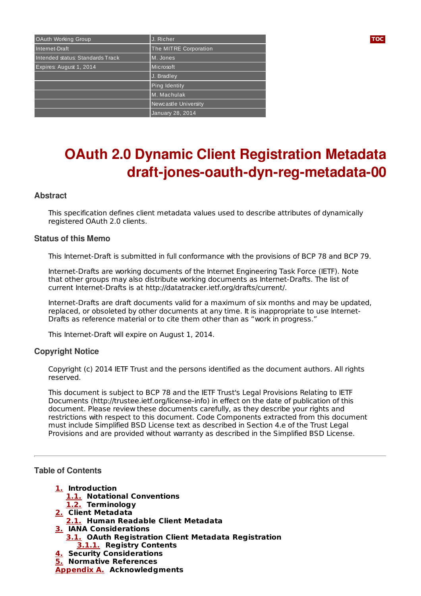| OAuth Working Group              | J. Richer             | <b>TOC</b> |
|----------------------------------|-----------------------|------------|
| Internet-Draft                   | The MITRE Corporation |            |
| Intended status: Standards Track | M. Jones              |            |
| Expires: August 1, 2014          | Microsoft             |            |
|                                  | J. Bradley            |            |
|                                  | <b>Ping Identity</b>  |            |
|                                  | M. Machulak           |            |
|                                  | Newcastle University  |            |
|                                  | January 28, 2014      |            |

# **OAuth 2.0 Dynamic Client Registration Metadata draft-jones-oauth-dyn-reg-metadata-00**

# **Abstract**

This specification defines client metadata values used to describe attributes of dynamically registered OAuth 2.0 clients.

### **Status of this Memo**

This Internet-Draft is submitted in full conformance with the provisions of BCP 78 and BCP 79.

Internet-Drafts are working documents of the Internet Engineering Task Force (IETF). Note that other groups may also distribute working documents as Internet-Drafts. The list of current Internet-Drafts is at http://datatracker.ietf.org/drafts/current/.

Internet-Drafts are draft documents valid for a maximum of six months and may be updated, replaced, or obsoleted by other documents at any time. It is inappropriate to use Internet-Drafts as reference material or to cite them other than as "work in progress."

This Internet-Draft will expire on August 1, 2014.

### **Copyright Notice**

Copyright (c) 2014 IETF Trust and the persons identified as the document authors. All rights reserved.

This document is subject to BCP 78 and the IETF Trust's Legal Provisions Relating to IETF Documents (http://trustee.ietf.org/license-info) in effect on the date of publication of this document. Please review these documents carefully, as they describe your rights and restrictions with respect to this document. Code Components extracted from this document must include Simplified BSD License text as described in Section 4.e of the Trust Legal Provisions and are provided without warranty as described in the Simplified BSD License.

### <span id="page-0-0"></span>**Table of Contents**

- **[1.](#page-1-0) Introduction**
	- **[1.1.](#page-1-1) Notational Conventions**
	- **[1.2.](#page-1-2) Terminology**
- **[2.](#page-1-3) Client Metadata**
	- **[2.1.](#page-2-0) Human Readable Client Metadata**
- **[3.](#page-3-0) IANA Considerations**
	- **[3.1.](#page-3-1) OAuth Registration Client Metadata Registration [3.1.1.](#page-3-2) Registry Contents**
- **[4.](#page-4-0) Security Considerations**
- **[5.](#page-4-1) Normative References**
- **[Appendix](#page-5-0) A. Acknowledgments**

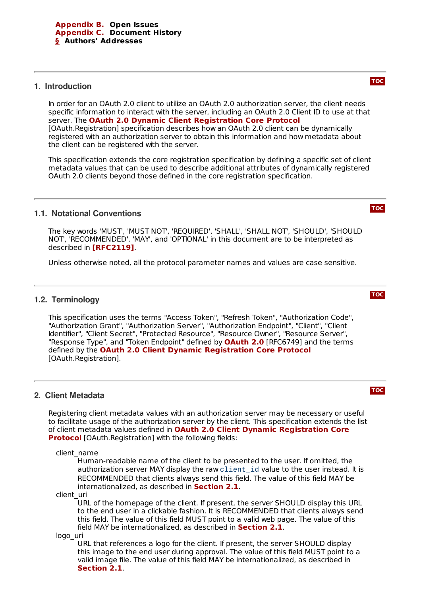# <span id="page-1-0"></span>**1. Introduction**

In order for an OAuth 2.0 client to utilize an OAuth 2.0 authorization server, the client needs specific information to interact with the server, including an OAuth 2.0 Client ID to use at that server. The **OAuth 2.0 Dynamic Client [Registration](#page-4-2) Core Protocol** [OAuth.Registration] specification describes how an OAuth 2.0 client can be dynamically registered with an authorization server to obtain this information and how metadata about the client can be registered with the server.

This specification extends the core registration specification by defining a specific set of client metadata values that can be used to describe additional attributes of dynamically registered OAuth 2.0 clients beyond those defined in the core registration specification.

# <span id="page-1-1"></span>**1.1. Notational Conventions**

The key words 'MUST', 'MUST NOT', 'REQUIRED', 'SHALL', 'SHALL NOT', 'SHOULD', 'SHOULD NOT', 'RECOMMENDED', 'MAY', and 'OPTIONAL' in this document are to be interpreted as described in **[\[RFC2119\]](#page-4-3)**.

<span id="page-1-2"></span>Unless otherwise noted, all the protocol parameter names and values are case sensitive.

# **1.2. Terminology**

This specification uses the terms "Access Token", "Refresh Token", "Authorization Code", "Authorization Grant", "Authorization Server", "Authorization Endpoint", "Client", "Client Identifier", "Client Secret", "Protected Resource", "Resource Owner", "Resource Server", "Response Type", and "Token Endpoint" defined by **[OAuth](#page-5-4) 2.0** [RFC6749] and the terms defined by the **OAuth 2.0 Client Dynamic [Registration](#page-4-2) Core Protocol** [OAuth.Registration].

### <span id="page-1-3"></span>**2. Client Metadata**

Registering client metadata values with an authorization server may be necessary or useful to facilitate usage of the authorization server by the client. This specification extends the list of client metadata values defined in **OAuth 2.0 Client Dynamic Registration Core Protocol** [\[OAuth.Registration\]](#page-4-2) with the following fields:

client\_name

Human-readable name of the client to be presented to the user. If omitted, the authorization server MAY display the raw client\_id value to the user instead. It is RECOMMENDED that clients always send this field. The value of this field MAY be internationalized, as described in **[Section](#page-2-0) 2.1**.

client\_uri

URL of the homepage of the client. If present, the server SHOULD display this URL to the end user in a clickable fashion. It is RECOMMENDED that clients always send this field. The value of this field MUST point to a valid web page. The value of this field MAY be internationalized, as described in **[Section](#page-2-0) 2.1**.

logo\_uri

URL that references a logo for the client. If present, the server SHOULD display this image to the end user during approval. The value of this field MUST point to a valid image file. The value of this field MAY be internationalized, as described in . **[Section](#page-2-0) 2.1**

**[TOC](#page-0-0)**

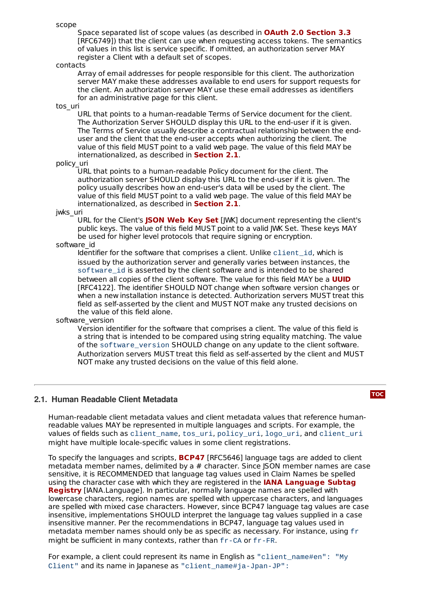scope

Space separated list of scope values (as described in **OAuth 2.0 [Section](#page-5-4) 3.3** [RFC6749]) that the client can use when requesting access tokens. The semantics of values in this list is service specific. If omitted, an authorization server MAY register a Client with a default set of scopes.

#### contacts

Array of email addresses for people responsible for this client. The authorization server MAY make these addresses available to end users for support requests for the client. An authorization server MAY use these email addresses as identifiers for an administrative page for this client.

tos\_uri

URL that points to a human-readable Terms of Service document for the client. The Authorization Server SHOULD display this URL to the end-user if it is given. The Terms of Service usually describe a contractual relationship between the enduser and the client that the end-user accepts when authorizing the client. The value of this field MUST point to a valid web page. The value of this field MAY be internationalized, as described in **[Section](#page-2-0) 2.1**.

#### policy\_uri

URL that points to a human-readable Policy document for the client. The authorization server SHOULD display this URL to the end-user if it is given. The policy usually describes how an end-user's data will be used by the client. The value of this field MUST point to a valid web page. The value of this field MAY be internationalized, as described in **[Section](#page-2-0) 2.1**.

jwks\_uri

URL for the Client's **[JSON](#page-4-4) Web Key Set** [JWK] document representing the client's public keys. The value of this field MUST point to a valid JWK Set. These keys MAY be used for higher level protocols that require signing or encryption.

software\_id

Identifier for the software that comprises a client. Unlike client\_id, which is issued by the authorization server and generally varies between instances, the software id is asserted by the client software and is intended to be shared between all copies of the client software. The value for this field MAY be a **[UUID](#page-4-5)** [RFC4122]. The identifier SHOULD NOT change when software version changes or when a new installation instance is detected. Authorization servers MUST treat this field as self-asserted by the client and MUST NOT make any trusted decisions on the value of this field alone.

#### software\_version

Version identifier for the software that comprises a client. The value of this field is a string that is intended to be compared using string equality matching. The value of the software\_version SHOULD change on any update to the client software. Authorization servers MUST treat this field as self-asserted by the client and MUST NOT make any trusted decisions on the value of this field alone.

### <span id="page-2-0"></span>**2.1. Human Readable Client Metadata**

**[TOC](#page-0-0)**

Human-readable client metadata values and client metadata values that reference humanreadable values MAY be represented in multiple languages and scripts. For example, the values of fields such as client\_name, tos\_uri, policy\_uri, logo\_uri, and client\_uri might have multiple locale-specific values in some client registrations.

To specify the languages and scripts, **[BCP47](#page-5-5)** [RFC5646] language tags are added to client metadata member names, delimited by a # character. Since JSON member names are case sensitive, it is RECOMMENDED that language tag values used in Claim Names be spelled using the character case with which they are registered in the **IANA Language Subtag Registry** [\[IANA.Language\].](#page-4-6) In particular, normally language names are spelled with lowercase characters, region names are spelled with uppercase characters, and languages are spelled with mixed case characters. However, since BCP47 language tag values are case insensitive, implementations SHOULD interpret the language tag values supplied in a case insensitive manner. Per the recommendations in BCP47, language tag values used in metadata member names should only be as specific as necessary. For instance, using fr might be sufficient in many contexts, rather than fr-CA or fr-FR.

For example, a client could represent its name in English as "client\_name#en": "My Client" and its name in Japanese as "client name#ja-Jpan-JP":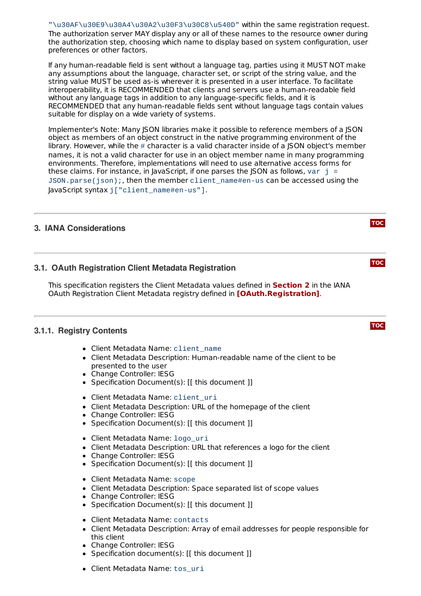"\u30AF\u30E9\u30A4\u30A2\u30F3\u30C8\u540D" within the same registration request. The authorization server MAY display any or all of these names to the resource owner during the authorization step, choosing which name to display based on system configuration, user preferences or other factors.

If any human-readable field is sent without a language tag, parties using it MUST NOT make any assumptions about the language, character set, or script of the string value, and the string value MUST be used as-is wherever it is presented in a user interface. To facilitate interoperability, it is RECOMMENDED that clients and servers use a human-readable field without any language tags in addition to any language-specific fields, and it is RECOMMENDED that any human-readable fields sent without language tags contain values suitable for display on a wide variety of systems.

Implementer's Note: Many JSON libraries make it possible to reference members of a JSON object as members of an object construct in the native programming environment of the library. However, while the  $\#$  character is a valid character inside of a JSON object's member names, it is not a valid character for use in an object member name in many programming environments. Therefore, implementations will need to use alternative access forms for these claims. For instance, in JavaScript, if one parses the JSON as follows, var  $j =$ JSON.parse(json);, then the member client\_name#en-us can be accessed using the JavaScript syntax j["client\_name#en-us"].

# <span id="page-3-1"></span><span id="page-3-0"></span>**3. IANA Considerations**

# **3.1. OAuth Registration Client Metadata Registration**

This specification registers the Client Metadata values defined in **[Section](#page-1-3) 2** in the IANA OAuth Registration Client Metadata registry defined in **[\[OAuth.Registration\]](#page-4-2)**.

# <span id="page-3-2"></span>**3.1.1. Registry Contents**

- Client Metadata Name: client\_name
- Client Metadata Description: Human-readable name of the client to be presented to the user
- Change Controller: IESG
- Specification Document(s): [[ this document ]]
- Client Metadata Name: client\_uri
- Client Metadata Description: URL of the homepage of the client
- Change Controller: IESG
- Specification Document(s): [[ this document ]]
- Client Metadata Name: logo\_uri
- Client Metadata Description: URL that references a logo for the client
- Change Controller: IESG
- Specification Document(s): [[ this document ]]
- Client Metadata Name: scope
- Client Metadata Description: Space separated list of scope values
- Change Controller: IESG
- Specification Document(s): [[ this document ]]
- Client Metadata Name: contacts
- Client Metadata Description: Array of email addresses for people responsible for this client
- Change Controller: IESG
- Specification document(s): [[ this document ]]
- Client Metadata Name: tos uri

**[TOC](#page-0-0)**

# **[TOC](#page-0-0)**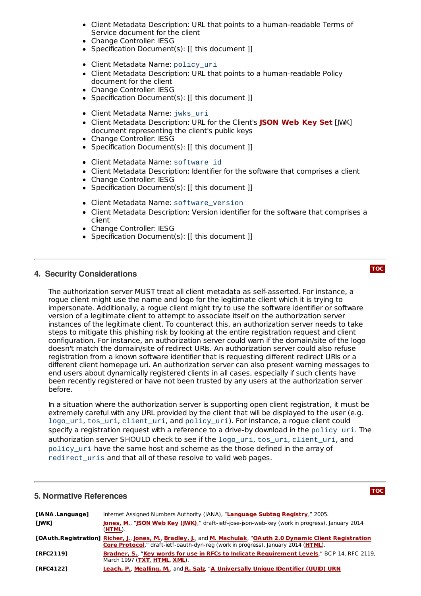- Client Metadata Description: URL that points to a human-readable Terms of Service document for the client
- Change Controller: IESG
- Specification Document(s): [[ this document ]]
- Client Metadata Name: policy\_uri
- Client Metadata Description: URL that points to a human-readable Policy document for the client
- Change Controller: IESG
- Specification Document(s): [[ this document ]]
- Client Metadata Name: jwks\_uri
- Client Metadata Description: URL for the Client's [JWK] **[JSON](#page-4-4) Web Key Set**document representing the client's public keys
- Change Controller: IESG
- Specification Document(s): [[ this document ]]
- Client Metadata Name: software\_id
- Client Metadata Description: Identifier for the software that comprises a client
- Change Controller: IESG
- Specification Document(s): [[ this document ]]
- Client Metadata Name: software\_version
- Client Metadata Description: Version identifier for the software that comprises a client
- Change Controller: IESG
- Specification Document(s): [[ this document ]]

# <span id="page-4-0"></span>**4. Security Considerations**

The authorization server MUST treat all client metadata as self-asserted. For instance, a rogue client might use the name and logo for the legitimate client which it is trying to impersonate. Additionally, a rogue client might try to use the software identifier or software version of a legitimate client to attempt to associate itself on the authorization server instances of the legitimate client. To counteract this, an authorization server needs to take steps to mitigate this phishing risk by looking at the entire registration request and client configuration. For instance, an authorization server could warn if the domain/site of the logo doesn't match the domain/site of redirect URIs. An authorization server could also refuse registration from a known software identifier that is requesting different redirect URIs or a different client homepage uri. An authorization server can also present warning messages to end users about dynamically registered clients in all cases, especially if such clients have been recently registered or have not been trusted by any users at the authorization server before.

In a situation where the authorization server is supporting open client registration, it must be extremely careful with any URL provided by the client that will be displayed to the user (e.g. logo\_uri, tos\_uri, client\_uri, and policy\_uri). For instance, a rogue client could specify a registration request with a reference to a drive-by download in the policy uri. The authorization server SHOULD check to see if the logo\_uri, tos\_uri, client\_uri, and policy\_uri have the same host and scheme as the those defined in the array of redirect uris and that all of these resolve to valid web pages.

### <span id="page-4-1"></span>**5. Normative References**

<span id="page-4-6"></span><span id="page-4-5"></span><span id="page-4-4"></span><span id="page-4-3"></span><span id="page-4-2"></span>**[IANA.Language]** Internet Assigned Numbers Authority (IANA), "**[Language](http://www.iana.org/assignments/language-subtag-registry) Subtag Registry**," 2005. **[JWK] [Jones,](mailto:mbj@microsoft.com) M.**, "**JSON Web Key [\(JWK\)](http://tools.ietf.org/html/draft-ietf-jose-json-web-key)**," draft-ietf-jose-json-web-key (work in progress), January 2014 (**[HTML](http://tools.ietf.org/html/draft-ietf-jose-json-web-key)**). **[OAuth.Registration] [Richer,](mailto:jricher@mitre.org) J.**, **[Jones,](mailto:mbj@microsoft.com) M.**, **[Bradley,](mailto:ve7jtb@ve7jtb.com) J.**, and **M. [Machulak](mailto:m.p.machulak@ncl.ac.uk)**, "**OAuth 2.0 Dynamic Client Registration Core Protocol**," [draft-ietf-oauth-dyn-reg](http://tools.ietf.org/html/draft-ietf-oauth-dyn-reg) (work in progress), January 2014 (**[HTML](http://tools.ietf.org/html/draft-ietf-oauth-dyn-reg)**). **[RFC2119] [Bradner,](mailto:sob@harvard.edu) S.**, "**Key words for use in RFCs to Indicate [Requirement](http://tools.ietf.org/html/rfc2119) Levels**," BCP 14, RFC 2119, March 1997 (**[TXT](http://www.rfc-editor.org/rfc/rfc2119.txt)**, **[HTML](http://xml.resource.org/public/rfc/html/rfc2119.html)**, **[XML](http://xml.resource.org/public/rfc/xml/rfc2119.xml)**). **[RFC4122] [Leach,](mailto:paulle@microsoft.com) P.**, **[Mealling,](mailto:michael@refactored-networks.com) M.**, and **R. [Salz](mailto:rsalz@datapower.com)**, "**A Universally Unique IDentifier (UUID) URN**

# **[TOC](#page-0-0)**